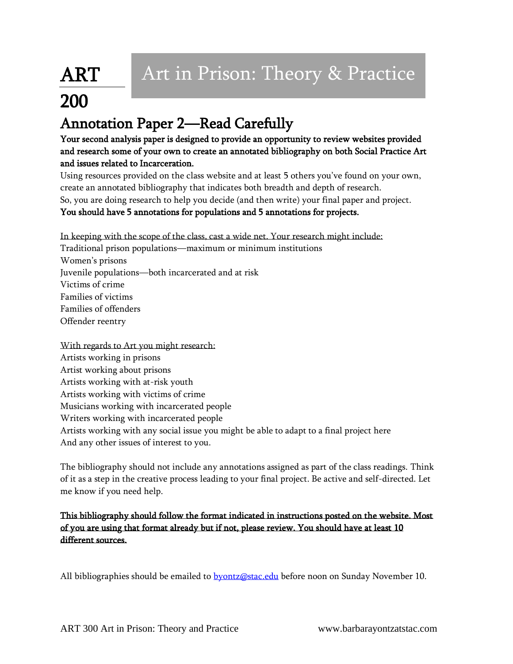## ART 200

## Annotation Paper 2—Read Carefully

Your second analysis paper is designed to provide an opportunity to review websites provided and research some of your own to create an annotated bibliography on both Social Practice Art and issues related to Incarceration.

Using resources provided on the class website and at least 5 others you've found on your own, create an annotated bibliography that indicates both breadth and depth of research. So, you are doing research to help you decide (and then write) your final paper and project. You should have 5 annotations for populations and 5 annotations for projects.

In keeping with the scope of the class, cast a wide net. Your research might include:

Traditional prison populations—maximum or minimum institutions Women's prisons Juvenile populations—both incarcerated and at risk Victims of crime Families of victims Families of offenders Offender reentry

With regards to Art you might research: Artists working in prisons Artist working about prisons Artists working with at-risk youth Artists working with victims of crime Musicians working with incarcerated people Writers working with incarcerated people Artists working with any social issue you might be able to adapt to a final project here And any other issues of interest to you.

The bibliography should not include any annotations assigned as part of the class readings. Think of it as a step in the creative process leading to your final project. Be active and self-directed. Let me know if you need help.

This bibliography should follow the format indicated in instructions posted on the website. Most of you are using that format already but if not, please review. You should have at least 10 different sources.

All bibliographies should be emailed to **byontz@stac.edu** before noon on Sunday November 10.